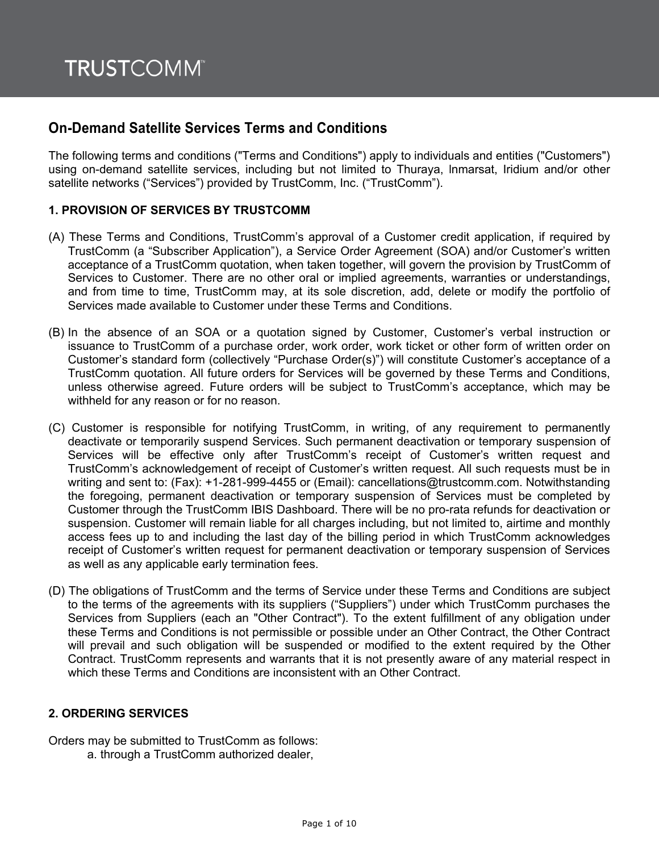# **On-Demand Satellite Services Terms and Conditions**

The following terms and conditions ("Terms and Conditions") apply to individuals and entities ("Customers") using on-demand satellite services, including but not limited to Thuraya, lnmarsat, Iridium and/or other satellite networks ("Services") provided by TrustComm, Inc. ("TrustComm").

# **1. PROVISION OF SERVICES BY TRUSTCOMM**

- (A) These Terms and Conditions, TrustComm's approval of a Customer credit application, if required by TrustComm (a "Subscriber Application"), a Service Order Agreement (SOA) and/or Customer's written acceptance of a TrustComm quotation, when taken together, will govern the provision by TrustComm of Services to Customer. There are no other oral or implied agreements, warranties or understandings, and from time to time, TrustComm may, at its sole discretion, add, delete or modify the portfolio of Services made available to Customer under these Terms and Conditions.
- (B) In the absence of an SOA or a quotation signed by Customer, Customer's verbal instruction or issuance to TrustComm of a purchase order, work order, work ticket or other form of written order on Customer's standard form (collectively "Purchase Order(s)") will constitute Customer's acceptance of a TrustComm quotation. All future orders for Services will be governed by these Terms and Conditions, unless otherwise agreed. Future orders will be subject to TrustComm's acceptance, which may be withheld for any reason or for no reason.
- (C) Customer is responsible for notifying TrustComm, in writing, of any requirement to permanently deactivate or temporarily suspend Services. Such permanent deactivation or temporary suspension of Services will be effective only after TrustComm's receipt of Customer's written request and TrustComm's acknowledgement of receipt of Customer's written request. All such requests must be in writing and sent to: (Fax): +1-281-999-4455 or (Email): cancellations@trustcomm.com. Notwithstanding the foregoing, permanent deactivation or temporary suspension of Services must be completed by Customer through the TrustComm IBIS Dashboard. There will be no pro-rata refunds for deactivation or suspension. Customer will remain liable for all charges including, but not limited to, airtime and monthly access fees up to and including the last day of the billing period in which TrustComm acknowledges receipt of Customer's written request for permanent deactivation or temporary suspension of Services as well as any applicable early termination fees.
- (D) The obligations of TrustComm and the terms of Service under these Terms and Conditions are subject to the terms of the agreements with its suppliers ("Suppliers") under which TrustComm purchases the Services from Suppliers (each an "Other Contract"). To the extent fulfillment of any obligation under these Terms and Conditions is not permissible or possible under an Other Contract, the Other Contract will prevail and such obligation will be suspended or modified to the extent required by the Other Contract. TrustComm represents and warrants that it is not presently aware of any material respect in which these Terms and Conditions are inconsistent with an Other Contract.

# **2. ORDERING SERVICES**

Orders may be submitted to TrustComm as follows:

a. through a TrustComm authorized dealer,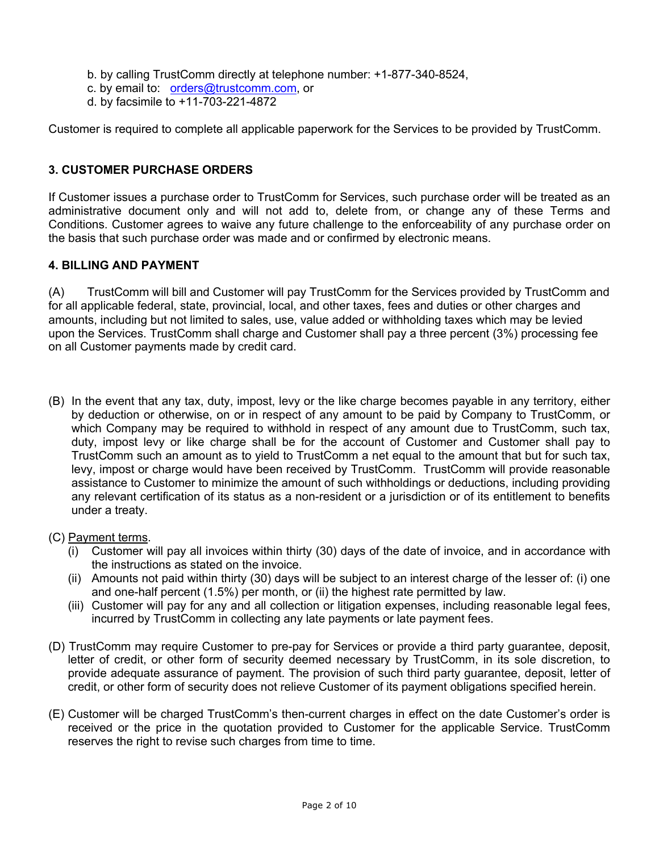- b. by calling TrustComm directly at telephone number: +1-877-340-8524,
- c. by email to: orders@trustcomm.com, or
- d. by facsimile to +11-703-221-4872

Customer is required to complete all applicable paperwork for the Services to be provided by TrustComm.

# **3. CUSTOMER PURCHASE ORDERS**

If Customer issues a purchase order to TrustComm for Services, such purchase order will be treated as an administrative document only and will not add to, delete from, or change any of these Terms and Conditions. Customer agrees to waive any future challenge to the enforceability of any purchase order on the basis that such purchase order was made and or confirmed by electronic means.

# **4. BILLING AND PAYMENT**

(A) TrustComm will bill and Customer will pay TrustComm for the Services provided by TrustComm and for all applicable federal, state, provincial, local, and other taxes, fees and duties or other charges and amounts, including but not limited to sales, use, value added or withholding taxes which may be levied upon the Services. TrustComm shall charge and Customer shall pay a three percent (3%) processing fee on all Customer payments made by credit card.

- (B) In the event that any tax, duty, impost, levy or the like charge becomes payable in any territory, either by deduction or otherwise, on or in respect of any amount to be paid by Company to TrustComm, or which Company may be required to withhold in respect of any amount due to TrustComm, such tax, duty, impost levy or like charge shall be for the account of Customer and Customer shall pay to TrustComm such an amount as to yield to TrustComm a net equal to the amount that but for such tax, levy, impost or charge would have been received by TrustComm. TrustComm will provide reasonable assistance to Customer to minimize the amount of such withholdings or deductions, including providing any relevant certification of its status as a non-resident or a jurisdiction or of its entitlement to benefits under a treaty.
- (C) Payment terms.
	- (i) Customer will pay all invoices within thirty (30) days of the date of invoice, and in accordance with the instructions as stated on the invoice.
	- (ii) Amounts not paid within thirty (30) days will be subject to an interest charge of the lesser of: (i) one and one-half percent (1.5%) per month, or (ii) the highest rate permitted by law.
	- (iii) Customer will pay for any and all collection or litigation expenses, including reasonable legal fees, incurred by TrustComm in collecting any late payments or late payment fees.
- (D) TrustComm may require Customer to pre-pay for Services or provide a third party guarantee, deposit, letter of credit, or other form of security deemed necessary by TrustComm, in its sole discretion, to provide adequate assurance of payment. The provision of such third party guarantee, deposit, letter of credit, or other form of security does not relieve Customer of its payment obligations specified herein.
- (E) Customer will be charged TrustComm's then-current charges in effect on the date Customer's order is received or the price in the quotation provided to Customer for the applicable Service. TrustComm reserves the right to revise such charges from time to time.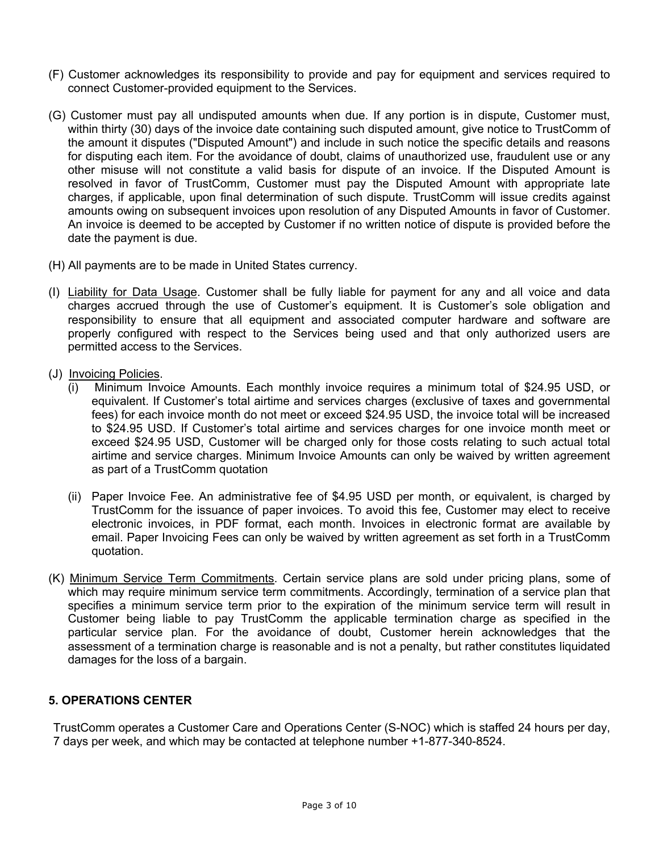- (F) Customer acknowledges its responsibility to provide and pay for equipment and services required to connect Customer-provided equipment to the Services.
- (G) Customer must pay all undisputed amounts when due. If any portion is in dispute, Customer must, within thirty (30) days of the invoice date containing such disputed amount, give notice to TrustComm of the amount it disputes ("Disputed Amount") and include in such notice the specific details and reasons for disputing each item. For the avoidance of doubt, claims of unauthorized use, fraudulent use or any other misuse will not constitute a valid basis for dispute of an invoice. If the Disputed Amount is resolved in favor of TrustComm, Customer must pay the Disputed Amount with appropriate late charges, if applicable, upon final determination of such dispute. TrustComm will issue credits against amounts owing on subsequent invoices upon resolution of any Disputed Amounts in favor of Customer. An invoice is deemed to be accepted by Customer if no written notice of dispute is provided before the date the payment is due.
- (H) All payments are to be made in United States currency.
- (I) Liability for Data Usage. Customer shall be fully liable for payment for any and all voice and data charges accrued through the use of Customer's equipment. It is Customer's sole obligation and responsibility to ensure that all equipment and associated computer hardware and software are properly configured with respect to the Services being used and that only authorized users are permitted access to the Services.
- (J) Invoicing Policies.
	- (i) Minimum Invoice Amounts. Each monthly invoice requires a minimum total of \$24.95 USD, or equivalent. If Customer's total airtime and services charges (exclusive of taxes and governmental fees) for each invoice month do not meet or exceed \$24.95 USD, the invoice total will be increased to \$24.95 USD. If Customer's total airtime and services charges for one invoice month meet or exceed \$24.95 USD, Customer will be charged only for those costs relating to such actual total airtime and service charges. Minimum Invoice Amounts can only be waived by written agreement as part of a TrustComm quotation
	- (ii) Paper Invoice Fee. An administrative fee of \$4.95 USD per month, or equivalent, is charged by TrustComm for the issuance of paper invoices. To avoid this fee, Customer may elect to receive electronic invoices, in PDF format, each month. Invoices in electronic format are available by email. Paper Invoicing Fees can only be waived by written agreement as set forth in a TrustComm quotation.
- (K) Minimum Service Term Commitments. Certain service plans are sold under pricing plans, some of which may require minimum service term commitments. Accordingly, termination of a service plan that specifies a minimum service term prior to the expiration of the minimum service term will result in Customer being liable to pay TrustComm the applicable termination charge as specified in the particular service plan. For the avoidance of doubt, Customer herein acknowledges that the assessment of a termination charge is reasonable and is not a penalty, but rather constitutes liquidated damages for the loss of a bargain.

# **5. OPERATIONS CENTER**

TrustComm operates a Customer Care and Operations Center (S-NOC) which is staffed 24 hours per day, 7 days per week, and which may be contacted at telephone number +1-877-340-8524.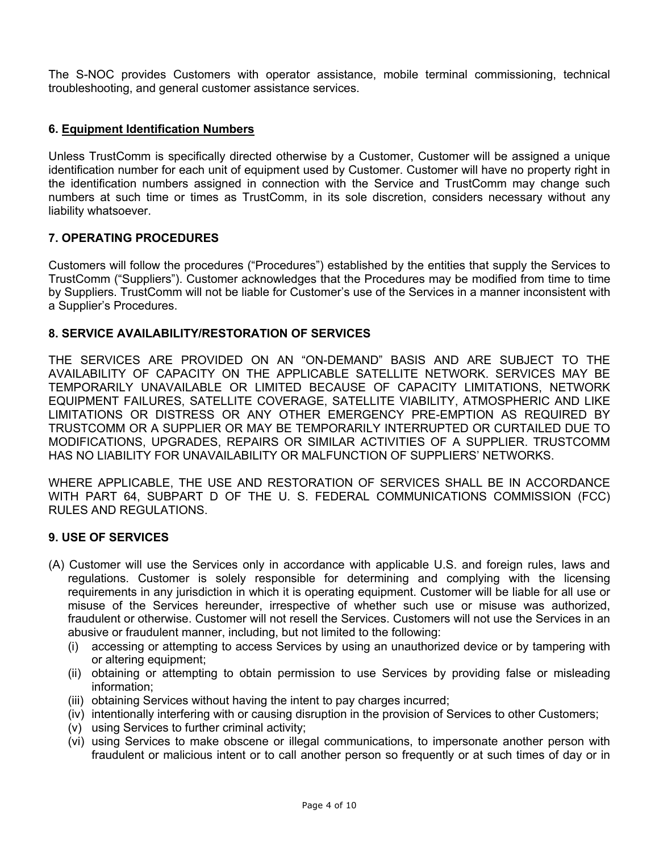The S-NOC provides Customers with operator assistance, mobile terminal commissioning, technical troubleshooting, and general customer assistance services.

# **6. Equipment Identification Numbers**

Unless TrustComm is specifically directed otherwise by a Customer, Customer will be assigned a unique identification number for each unit of equipment used by Customer. Customer will have no property right in the identification numbers assigned in connection with the Service and TrustComm may change such numbers at such time or times as TrustComm, in its sole discretion, considers necessary without any liability whatsoever.

# **7. OPERATING PROCEDURES**

Customers will follow the procedures ("Procedures") established by the entities that supply the Services to TrustComm ("Suppliers"). Customer acknowledges that the Procedures may be modified from time to time by Suppliers. TrustComm will not be liable for Customer's use of the Services in a manner inconsistent with a Supplier's Procedures.

# **8. SERVICE AVAILABILITY/RESTORATION OF SERVICES**

THE SERVICES ARE PROVIDED ON AN "ON-DEMAND" BASIS AND ARE SUBJECT TO THE AVAILABILITY OF CAPACITY ON THE APPLICABLE SATELLITE NETWORK. SERVICES MAY BE TEMPORARILY UNAVAILABLE OR LIMITED BECAUSE OF CAPACITY LIMITATIONS, NETWORK EQUIPMENT FAILURES, SATELLITE COVERAGE, SATELLITE VIABILITY, ATMOSPHERIC AND LIKE LIMITATIONS OR DISTRESS OR ANY OTHER EMERGENCY PRE-EMPTION AS REQUIRED BY TRUSTCOMM OR A SUPPLIER OR MAY BE TEMPORARILY INTERRUPTED OR CURTAILED DUE TO MODIFICATIONS, UPGRADES, REPAIRS OR SIMILAR ACTIVITIES OF A SUPPLIER. TRUSTCOMM HAS NO LIABILITY FOR UNAVAILABILITY OR MALFUNCTION OF SUPPLIERS' NETWORKS.

WHERE APPLICABLE, THE USE AND RESTORATION OF SERVICES SHALL BE IN ACCORDANCE WITH PART 64, SUBPART D OF THE U. S. FEDERAL COMMUNICATIONS COMMISSION (FCC) RULES AND REGULATIONS.

#### **9. USE OF SERVICES**

- (A) Customer will use the Services only in accordance with applicable U.S. and foreign rules, laws and regulations. Customer is solely responsible for determining and complying with the licensing requirements in any jurisdiction in which it is operating equipment. Customer will be liable for all use or misuse of the Services hereunder, irrespective of whether such use or misuse was authorized, fraudulent or otherwise. Customer will not resell the Services. Customers will not use the Services in an abusive or fraudulent manner, including, but not limited to the following:
	- (i) accessing or attempting to access Services by using an unauthorized device or by tampering with or altering equipment;
	- (ii) obtaining or attempting to obtain permission to use Services by providing false or misleading information;
	- (iii) obtaining Services without having the intent to pay charges incurred;
	- (iv) intentionally interfering with or causing disruption in the provision of Services to other Customers;
	- (v) using Services to further criminal activity;
	- (vi) using Services to make obscene or illegal communications, to impersonate another person with fraudulent or malicious intent or to call another person so frequently or at such times of day or in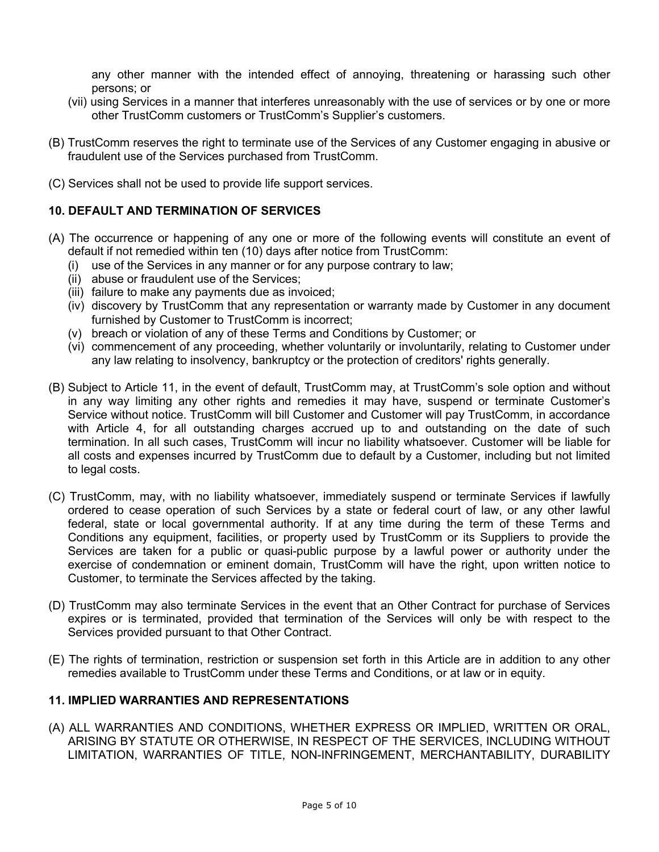any other manner with the intended effect of annoying, threatening or harassing such other persons; or

- (vii) using Services in a manner that interferes unreasonably with the use of services or by one or more other TrustComm customers or TrustComm's Supplier's customers.
- (B) TrustComm reserves the right to terminate use of the Services of any Customer engaging in abusive or fraudulent use of the Services purchased from TrustComm.
- (C) Services shall not be used to provide life support services.

### **10. DEFAULT AND TERMINATION OF SERVICES**

- (A) The occurrence or happening of any one or more of the following events will constitute an event of default if not remedied within ten (10) days after notice from TrustComm:
	- (i) use of the Services in any manner or for any purpose contrary to law;
	- (ii) abuse or fraudulent use of the Services;
	- (iii) failure to make any payments due as invoiced;
	- (iv) discovery by TrustComm that any representation or warranty made by Customer in any document furnished by Customer to TrustComm is incorrect;
	- (v) breach or violation of any of these Terms and Conditions by Customer; or
	- (vi) commencement of any proceeding, whether voluntarily or involuntarily, relating to Customer under any law relating to insolvency, bankruptcy or the protection of creditors' rights generally.
- (B) Subject to Article 11, in the event of default, TrustComm may, at TrustComm's sole option and without in any way limiting any other rights and remedies it may have, suspend or terminate Customer's Service without notice. TrustComm will bill Customer and Customer will pay TrustComm, in accordance with Article 4, for all outstanding charges accrued up to and outstanding on the date of such termination. In all such cases, TrustComm will incur no liability whatsoever. Customer will be liable for all costs and expenses incurred by TrustComm due to default by a Customer, including but not limited to legal costs.
- (C) TrustComm, may, with no liability whatsoever, immediately suspend or terminate Services if lawfully ordered to cease operation of such Services by a state or federal court of law, or any other lawful federal, state or local governmental authority. If at any time during the term of these Terms and Conditions any equipment, facilities, or property used by TrustComm or its Suppliers to provide the Services are taken for a public or quasi-public purpose by a lawful power or authority under the exercise of condemnation or eminent domain, TrustComm will have the right, upon written notice to Customer, to terminate the Services affected by the taking.
- (D) TrustComm may also terminate Services in the event that an Other Contract for purchase of Services expires or is terminated, provided that termination of the Services will only be with respect to the Services provided pursuant to that Other Contract.
- (E) The rights of termination, restriction or suspension set forth in this Article are in addition to any other remedies available to TrustComm under these Terms and Conditions, or at law or in equity.

#### **11. IMPLIED WARRANTIES AND REPRESENTATIONS**

(A) ALL WARRANTIES AND CONDITIONS, WHETHER EXPRESS OR IMPLIED, WRITTEN OR ORAL, ARISING BY STATUTE OR OTHERWISE, IN RESPECT OF THE SERVICES, INCLUDING WITHOUT LIMITATION, WARRANTIES OF TITLE, NON-INFRINGEMENT, MERCHANTABILITY, DURABILITY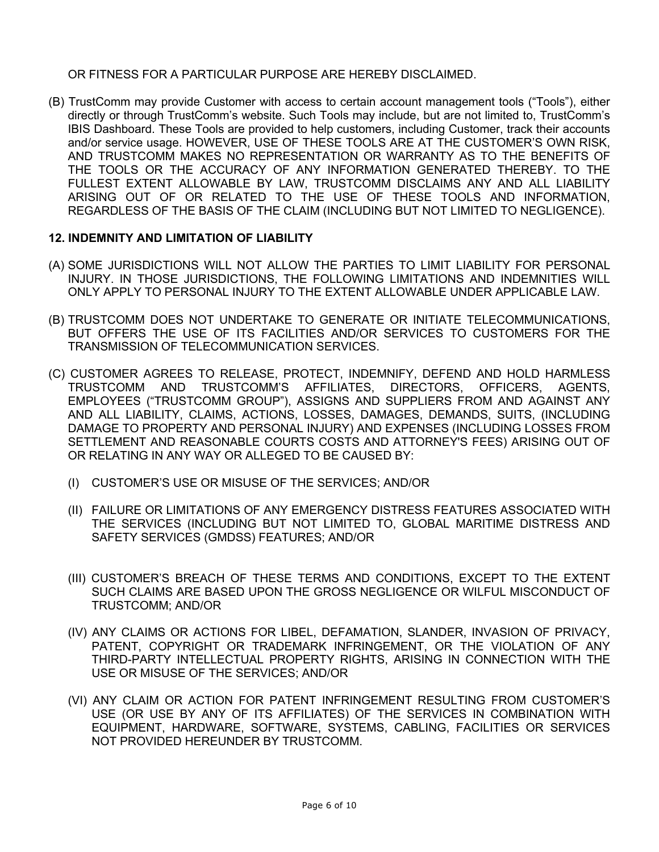OR FITNESS FOR A PARTICULAR PURPOSE ARE HEREBY DISCLAIMED.

(B) TrustComm may provide Customer with access to certain account management tools ("Tools"), either directly or through TrustComm's website. Such Tools may include, but are not limited to, TrustComm's IBIS Dashboard. These Tools are provided to help customers, including Customer, track their accounts and/or service usage. HOWEVER, USE OF THESE TOOLS ARE AT THE CUSTOMER'S OWN RISK, AND TRUSTCOMM MAKES NO REPRESENTATION OR WARRANTY AS TO THE BENEFITS OF THE TOOLS OR THE ACCURACY OF ANY INFORMATION GENERATED THEREBY. TO THE FULLEST EXTENT ALLOWABLE BY LAW, TRUSTCOMM DISCLAIMS ANY AND ALL LIABILITY ARISING OUT OF OR RELATED TO THE USE OF THESE TOOLS AND INFORMATION, REGARDLESS OF THE BASIS OF THE CLAIM (INCLUDING BUT NOT LIMITED TO NEGLIGENCE).

# **12. INDEMNITY AND LIMITATION OF LIABILITY**

- (A) SOME JURISDICTIONS WILL NOT ALLOW THE PARTIES TO LIMIT LIABILITY FOR PERSONAL INJURY. IN THOSE JURISDICTIONS, THE FOLLOWING LIMITATIONS AND INDEMNITIES WILL ONLY APPLY TO PERSONAL INJURY TO THE EXTENT ALLOWABLE UNDER APPLICABLE LAW.
- (B) TRUSTCOMM DOES NOT UNDERTAKE TO GENERATE OR INITIATE TELECOMMUNICATIONS, BUT OFFERS THE USE OF ITS FACILITIES AND/OR SERVICES TO CUSTOMERS FOR THE TRANSMISSION OF TELECOMMUNICATION SERVICES.
- (C) CUSTOMER AGREES TO RELEASE, PROTECT, INDEMNIFY, DEFEND AND HOLD HARMLESS TRUSTCOMM AND TRUSTCOMM'S AFFILIATES, DIRECTORS, OFFICERS, AGENTS, EMPLOYEES ("TRUSTCOMM GROUP"), ASSIGNS AND SUPPLIERS FROM AND AGAINST ANY AND ALL LIABILITY, CLAIMS, ACTIONS, LOSSES, DAMAGES, DEMANDS, SUITS, (INCLUDING DAMAGE TO PROPERTY AND PERSONAL INJURY) AND EXPENSES (INCLUDING LOSSES FROM SETTLEMENT AND REASONABLE COURTS COSTS AND ATTORNEY'S FEES) ARISING OUT OF OR RELATING IN ANY WAY OR ALLEGED TO BE CAUSED BY:
	- (I) CUSTOMER'S USE OR MISUSE OF THE SERVICES; AND/OR
	- (II) FAILURE OR LIMITATIONS OF ANY EMERGENCY DISTRESS FEATURES ASSOCIATED WITH THE SERVICES (INCLUDING BUT NOT LIMITED TO, GLOBAL MARITIME DISTRESS AND SAFETY SERVICES (GMDSS) FEATURES; AND/OR
	- (III) CUSTOMER'S BREACH OF THESE TERMS AND CONDITIONS, EXCEPT TO THE EXTENT SUCH CLAIMS ARE BASED UPON THE GROSS NEGLIGENCE OR WILFUL MISCONDUCT OF TRUSTCOMM; AND/OR
	- (IV) ANY CLAIMS OR ACTIONS FOR LIBEL, DEFAMATION, SLANDER, INVASION OF PRIVACY, PATENT, COPYRIGHT OR TRADEMARK INFRINGEMENT, OR THE VIOLATION OF ANY THIRD-PARTY INTELLECTUAL PROPERTY RIGHTS, ARISING IN CONNECTION WITH THE USE OR MISUSE OF THE SERVICES; AND/OR
	- (VI) ANY CLAIM OR ACTION FOR PATENT INFRINGEMENT RESULTING FROM CUSTOMER'S USE (OR USE BY ANY OF ITS AFFILIATES) OF THE SERVICES IN COMBINATION WITH EQUIPMENT, HARDWARE, SOFTWARE, SYSTEMS, CABLING, FACILITIES OR SERVICES NOT PROVIDED HEREUNDER BY TRUSTCOMM.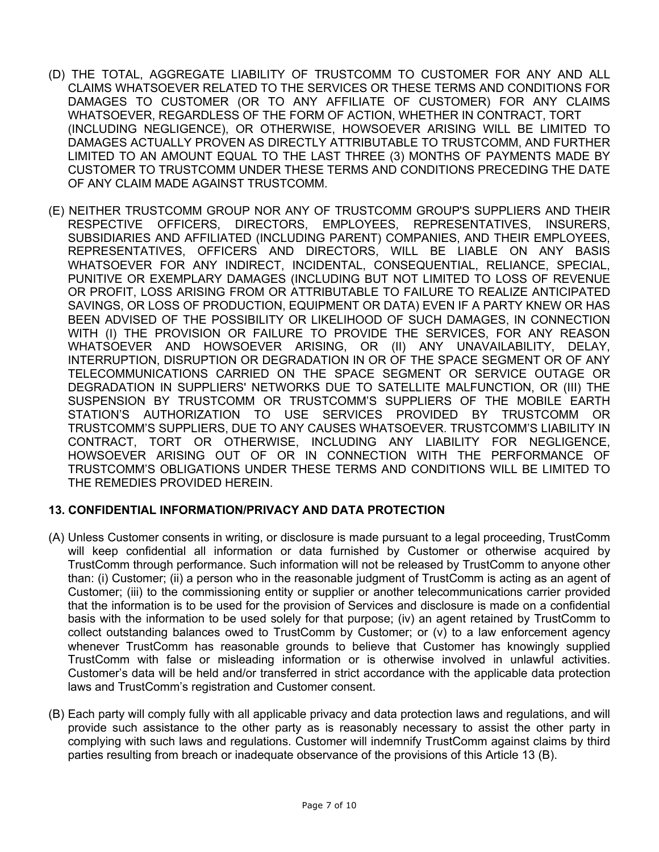- (D) THE TOTAL, AGGREGATE LIABILITY OF TRUSTCOMM TO CUSTOMER FOR ANY AND ALL CLAIMS WHATSOEVER RELATED TO THE SERVICES OR THESE TERMS AND CONDITIONS FOR DAMAGES TO CUSTOMER (OR TO ANY AFFILIATE OF CUSTOMER) FOR ANY CLAIMS WHATSOEVER, REGARDLESS OF THE FORM OF ACTION, WHETHER IN CONTRACT, TORT (INCLUDING NEGLIGENCE), OR OTHERWISE, HOWSOEVER ARISING WILL BE LIMITED TO DAMAGES ACTUALLY PROVEN AS DIRECTLY ATTRIBUTABLE TO TRUSTCOMM, AND FURTHER LIMITED TO AN AMOUNT EQUAL TO THE LAST THREE (3) MONTHS OF PAYMENTS MADE BY CUSTOMER TO TRUSTCOMM UNDER THESE TERMS AND CONDITIONS PRECEDING THE DATE OF ANY CLAIM MADE AGAINST TRUSTCOMM.
- (E) NEITHER TRUSTCOMM GROUP NOR ANY OF TRUSTCOMM GROUP'S SUPPLIERS AND THEIR RESPECTIVE OFFICERS, DIRECTORS, EMPLOYEES, REPRESENTATIVES, INSURERS, SUBSIDIARIES AND AFFILIATED (INCLUDING PARENT) COMPANIES, AND THEIR EMPLOYEES, REPRESENTATIVES, OFFICERS AND DIRECTORS, WILL BE LIABLE ON ANY BASIS WHATSOEVER FOR ANY INDIRECT, INCIDENTAL, CONSEQUENTIAL, RELIANCE, SPECIAL, PUNITIVE OR EXEMPLARY DAMAGES (INCLUDING BUT NOT LIMITED TO LOSS OF REVENUE OR PROFIT, LOSS ARISING FROM OR ATTRIBUTABLE TO FAILURE TO REALIZE ANTICIPATED SAVINGS, OR LOSS OF PRODUCTION, EQUIPMENT OR DATA) EVEN IF A PARTY KNEW OR HAS BEEN ADVISED OF THE POSSIBILITY OR LIKELIHOOD OF SUCH DAMAGES, IN CONNECTION WITH (I) THE PROVISION OR FAILURE TO PROVIDE THE SERVICES, FOR ANY REASON WHATSOEVER AND HOWSOEVER ARISING, OR (II) ANY UNAVAILABILITY, DELAY, INTERRUPTION, DISRUPTION OR DEGRADATION IN OR OF THE SPACE SEGMENT OR OF ANY TELECOMMUNICATIONS CARRIED ON THE SPACE SEGMENT OR SERVICE OUTAGE OR DEGRADATION IN SUPPLIERS' NETWORKS DUE TO SATELLITE MALFUNCTION, OR (III) THE SUSPENSION BY TRUSTCOMM OR TRUSTCOMM'S SUPPLIERS OF THE MOBILE EARTH STATION'S AUTHORIZATION TO USE SERVICES PROVIDED BY TRUSTCOMM OR TRUSTCOMM'S SUPPLIERS, DUE TO ANY CAUSES WHATSOEVER. TRUSTCOMM'S LIABILITY IN CONTRACT, TORT OR OTHERWISE, INCLUDING ANY LIABILITY FOR NEGLIGENCE, HOWSOEVER ARISING OUT OF OR IN CONNECTION WITH THE PERFORMANCE OF TRUSTCOMM'S OBLIGATIONS UNDER THESE TERMS AND CONDITIONS WILL BE LIMITED TO THE REMEDIES PROVIDED HEREIN.

# **13. CONFIDENTIAL INFORMATION/PRIVACY AND DATA PROTECTION**

- (A) Unless Customer consents in writing, or disclosure is made pursuant to a legal proceeding, TrustComm will keep confidential all information or data furnished by Customer or otherwise acquired by TrustComm through performance. Such information will not be released by TrustComm to anyone other than: (i) Customer; (ii) a person who in the reasonable judgment of TrustComm is acting as an agent of Customer; (iii) to the commissioning entity or supplier or another telecommunications carrier provided that the information is to be used for the provision of Services and disclosure is made on a confidential basis with the information to be used solely for that purpose; (iv) an agent retained by TrustComm to collect outstanding balances owed to TrustComm by Customer; or (v) to a law enforcement agency whenever TrustComm has reasonable grounds to believe that Customer has knowingly supplied TrustComm with false or misleading information or is otherwise involved in unlawful activities. Customer's data will be held and/or transferred in strict accordance with the applicable data protection laws and TrustComm's registration and Customer consent.
- (B) Each party will comply fully with all applicable privacy and data protection laws and regulations, and will provide such assistance to the other party as is reasonably necessary to assist the other party in complying with such laws and regulations. Customer will indemnify TrustComm against claims by third parties resulting from breach or inadequate observance of the provisions of this Article 13 (B).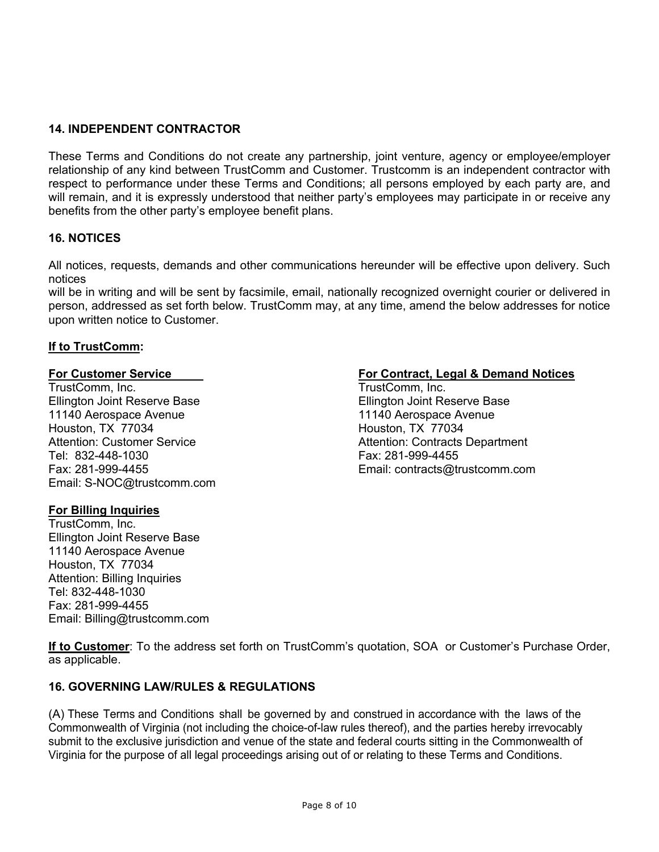# **14. INDEPENDENT CONTRACTOR**

These Terms and Conditions do not create any partnership, joint venture, agency or employee/employer relationship of any kind between TrustComm and Customer. Trustcomm is an independent contractor with respect to performance under these Terms and Conditions; all persons employed by each party are, and will remain, and it is expressly understood that neither party's employees may participate in or receive any benefits from the other party's employee benefit plans.

### **16. NOTICES**

All notices, requests, demands and other communications hereunder will be effective upon delivery. Such notices

will be in writing and will be sent by facsimile, email, nationally recognized overnight courier or delivered in person, addressed as set forth below. TrustComm may, at any time, amend the below addresses for notice upon written notice to Customer.

#### **If to TrustComm:**

TrustComm, Inc. TrustComm, Inc. Ellington Joint Reserve Base<br>11140 Aerospace Avenue **New York Contract 11140** Aerospace Avenue 11140 Aerospace Avenue<br>
Houston. TX 77034 100 and 11140 Aerospace Avenue 11140 Aerospace Avenue 11140 Houston, TX 77034 Tel: 832-448-1030 Fax: 281-999-4455 Email: S-NOC@trustcomm.com

#### **For Billing Inquiries**

TrustComm, Inc. Ellington Joint Reserve Base 11140 Aerospace Avenue Houston, TX 77034 Attention: Billing Inquiries Tel: 832-448-1030 Fax: 281-999-4455 Email: Billing@trustcomm.com

### **For Customer Service For Contract, Legal & Demand Notices**

Attention: Customer Service Attention: Contracts Department Fax: 281-999-4455 Email: contracts@trustcomm.com

**If to Customer**: To the address set forth on TrustComm's quotation, SOA or Customer's Purchase Order, as applicable.

#### **16. GOVERNING LAW/RULES & REGULATIONS**

(A) These Terms and Conditions shall be governed by and construed in accordance with the laws of the Commonwealth of Virginia (not including the choice-of-law rules thereof), and the parties hereby irrevocably submit to the exclusive jurisdiction and venue of the state and federal courts sitting in the Commonwealth of Virginia for the purpose of all legal proceedings arising out of or relating to these Terms and Conditions.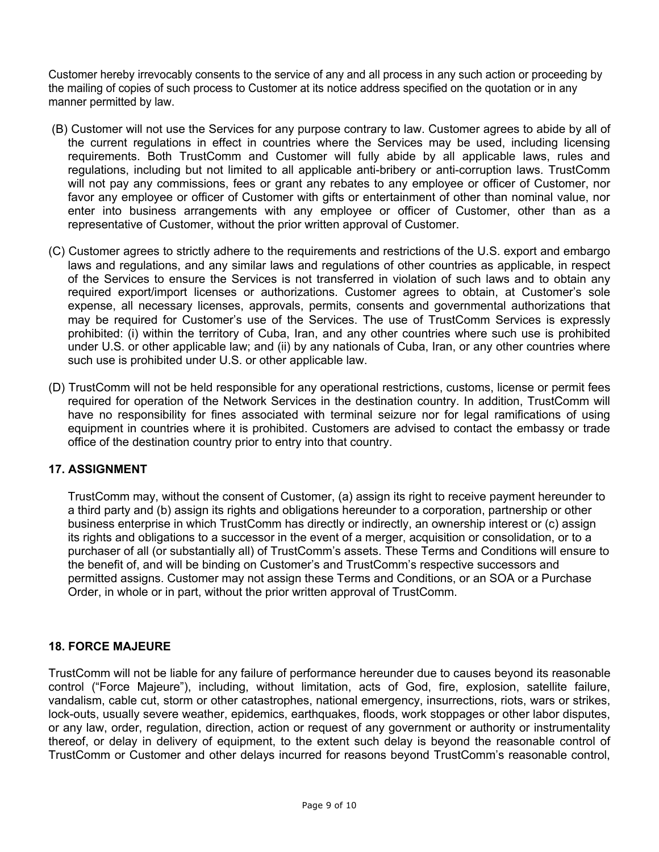Customer hereby irrevocably consents to the service of any and all process in any such action or proceeding by the mailing of copies of such process to Customer at its notice address specified on the quotation or in any manner permitted by law.

- (B) Customer will not use the Services for any purpose contrary to law. Customer agrees to abide by all of the current regulations in effect in countries where the Services may be used, including licensing requirements. Both TrustComm and Customer will fully abide by all applicable laws, rules and regulations, including but not limited to all applicable anti-bribery or anti-corruption laws. TrustComm will not pay any commissions, fees or grant any rebates to any employee or officer of Customer, nor favor any employee or officer of Customer with gifts or entertainment of other than nominal value, nor enter into business arrangements with any employee or officer of Customer, other than as a representative of Customer, without the prior written approval of Customer.
- (C) Customer agrees to strictly adhere to the requirements and restrictions of the U.S. export and embargo laws and regulations, and any similar laws and regulations of other countries as applicable, in respect of the Services to ensure the Services is not transferred in violation of such laws and to obtain any required export/import licenses or authorizations. Customer agrees to obtain, at Customer's sole expense, all necessary licenses, approvals, permits, consents and governmental authorizations that may be required for Customer's use of the Services. The use of TrustComm Services is expressly prohibited: (i) within the territory of Cuba, Iran, and any other countries where such use is prohibited under U.S. or other applicable law; and (ii) by any nationals of Cuba, Iran, or any other countries where such use is prohibited under U.S. or other applicable law.
- (D) TrustComm will not be held responsible for any operational restrictions, customs, license or permit fees required for operation of the Network Services in the destination country. In addition, TrustComm will have no responsibility for fines associated with terminal seizure nor for legal ramifications of using equipment in countries where it is prohibited. Customers are advised to contact the embassy or trade office of the destination country prior to entry into that country.

# **17. ASSIGNMENT**

TrustComm may, without the consent of Customer, (a) assign its right to receive payment hereunder to a third party and (b) assign its rights and obligations hereunder to a corporation, partnership or other business enterprise in which TrustComm has directly or indirectly, an ownership interest or (c) assign its rights and obligations to a successor in the event of a merger, acquisition or consolidation, or to a purchaser of all (or substantially all) of TrustComm's assets. These Terms and Conditions will ensure to the benefit of, and will be binding on Customer's and TrustComm's respective successors and permitted assigns. Customer may not assign these Terms and Conditions, or an SOA or a Purchase Order, in whole or in part, without the prior written approval of TrustComm.

# **18. FORCE MAJEURE**

TrustComm will not be liable for any failure of performance hereunder due to causes beyond its reasonable control ("Force Majeure"), including, without limitation, acts of God, fire, explosion, satellite failure, vandalism, cable cut, storm or other catastrophes, national emergency, insurrections, riots, wars or strikes, lock-outs, usually severe weather, epidemics, earthquakes, floods, work stoppages or other labor disputes, or any law, order, regulation, direction, action or request of any government or authority or instrumentality thereof, or delay in delivery of equipment, to the extent such delay is beyond the reasonable control of TrustComm or Customer and other delays incurred for reasons beyond TrustComm's reasonable control,